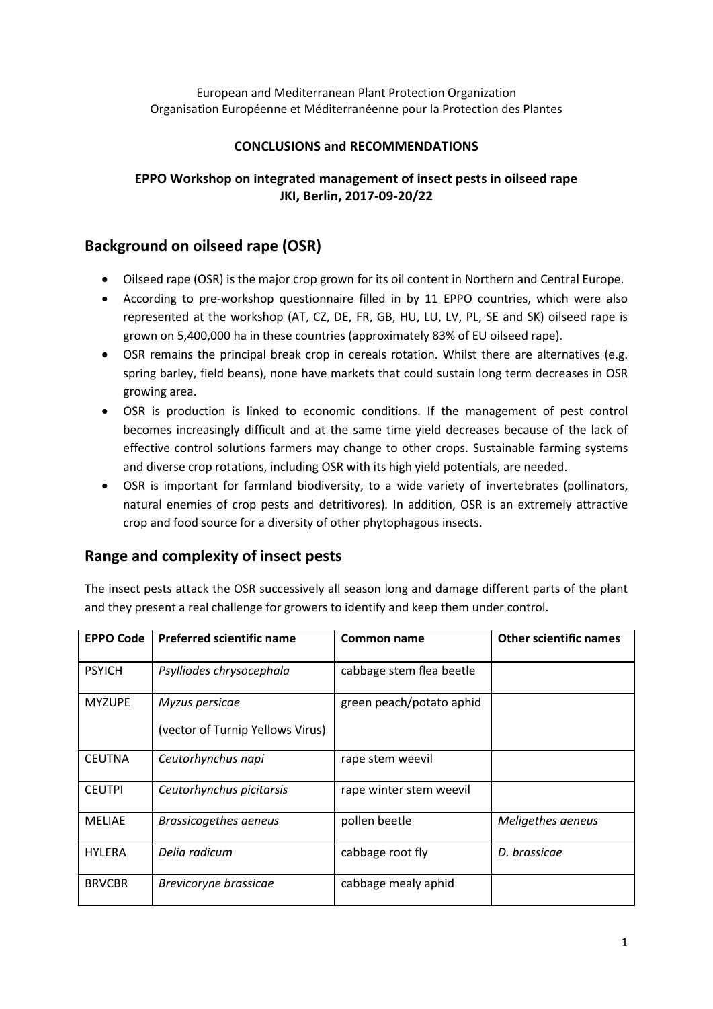European and Mediterranean Plant Protection Organization Organisation Européenne et Méditerranéenne pour la Protection des Plantes

## **CONCLUSIONS and RECOMMENDATIONS**

## **EPPO Workshop on integrated management of insect pests in oilseed rape JKI, Berlin, 2017-09-20/22**

# **Background on oilseed rape (OSR)**

- Oilseed rape (OSR) is the major crop grown for its oil content in Northern and Central Europe.
- According to pre-workshop questionnaire filled in by 11 EPPO countries, which were also represented at the workshop (AT, CZ, DE, FR, GB, HU, LU, LV, PL, SE and SK) oilseed rape is grown on 5,400,000 ha in these countries (approximately 83% of EU oilseed rape).
- OSR remains the principal break crop in cereals rotation. Whilst there are alternatives (e.g. spring barley, field beans), none have markets that could sustain long term decreases in OSR growing area.
- OSR is production is linked to economic conditions. If the management of pest control becomes increasingly difficult and at the same time yield decreases because of the lack of effective control solutions farmers may change to other crops. Sustainable farming systems and diverse crop rotations, including OSR with its high yield potentials, are needed.
- OSR is important for farmland biodiversity, to a wide variety of invertebrates (pollinators, natural enemies of crop pests and detritivores)*.* In addition, OSR is an extremely attractive crop and food source for a diversity of other phytophagous insects.

# **Range and complexity of insect pests**

The insect pests attack the OSR successively all season long and damage different parts of the plant and they present a real challenge for growers to identify and keep them under control.

| <b>EPPO Code</b> | <b>Preferred scientific name</b>                   | Common name              | <b>Other scientific names</b> |
|------------------|----------------------------------------------------|--------------------------|-------------------------------|
| <b>PSYICH</b>    | Psylliodes chrysocephala                           | cabbage stem flea beetle |                               |
| <b>MYZUPE</b>    | Myzus persicae<br>(vector of Turnip Yellows Virus) | green peach/potato aphid |                               |
| <b>CEUTNA</b>    | Ceutorhynchus napi                                 | rape stem weevil         |                               |
| <b>CEUTPI</b>    | Ceutorhynchus picitarsis                           | rape winter stem weevil  |                               |
| <b>MELIAE</b>    | <b>Brassicogethes aeneus</b>                       | pollen beetle            | Meligethes aeneus             |
| <b>HYLERA</b>    | Delia radicum                                      | cabbage root fly         | D. brassicae                  |
| <b>BRVCBR</b>    | Brevicoryne brassicae                              | cabbage mealy aphid      |                               |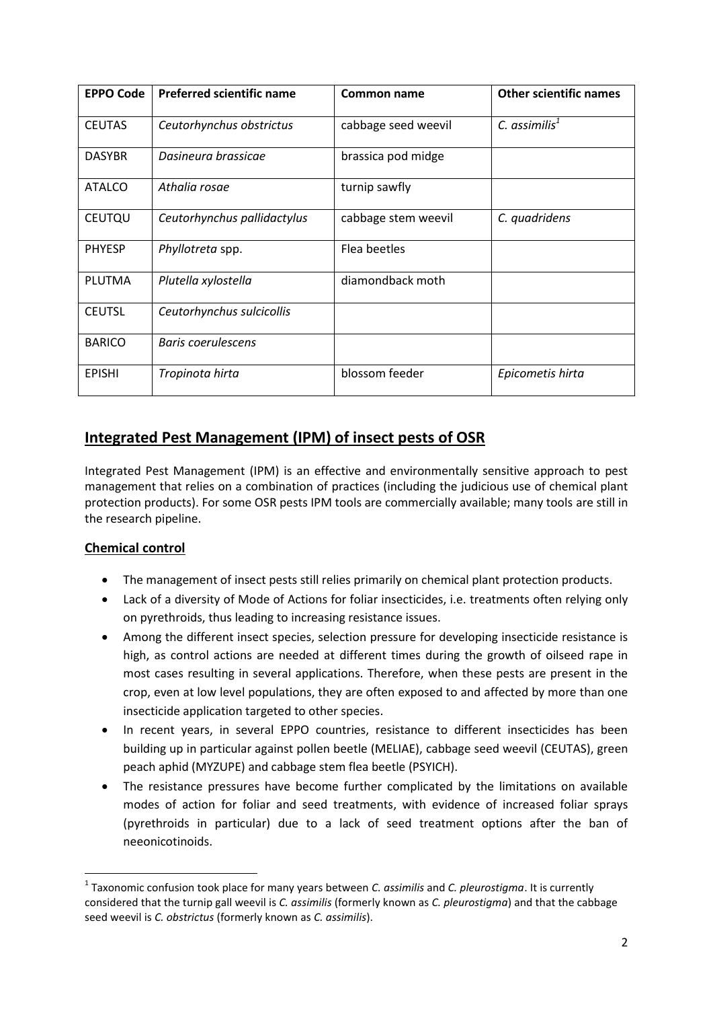| <b>EPPO Code</b> | <b>Preferred scientific name</b> | Common name         | <b>Other scientific names</b> |
|------------------|----------------------------------|---------------------|-------------------------------|
| <b>CEUTAS</b>    | Ceutorhynchus obstrictus         | cabbage seed weevil | $C.$ assimilis $1$            |
| <b>DASYBR</b>    | Dasineura brassicae              | brassica pod midge  |                               |
| <b>ATALCO</b>    | Athalia rosae                    | turnip sawfly       |                               |
| <b>CEUTQU</b>    | Ceutorhynchus pallidactylus      | cabbage stem weevil | C. quadridens                 |
| <b>PHYESP</b>    | Phyllotreta spp.                 | Flea beetles        |                               |
| <b>PLUTMA</b>    | Plutella xylostella              | diamondback moth    |                               |
| <b>CEUTSL</b>    | Ceutorhynchus sulcicollis        |                     |                               |
| <b>BARICO</b>    | Baris coerulescens               |                     |                               |
| <b>EPISHI</b>    | Tropinota hirta                  | blossom feeder      | Epicometis hirta              |

# **Integrated Pest Management (IPM) of insect pests of OSR**

Integrated Pest Management (IPM) is an effective and environmentally sensitive approach to pest management that relies on a combination of practices (including the judicious use of chemical plant protection products). For some OSR pests IPM tools are commercially available; many tools are still in the research pipeline.

## **Chemical control**

**.** 

- The management of insect pests still relies primarily on chemical plant protection products.
- Lack of a diversity of Mode of Actions for foliar insecticides, i.e. treatments often relying only on pyrethroids, thus leading to increasing resistance issues.
- Among the different insect species, selection pressure for developing insecticide resistance is high, as control actions are needed at different times during the growth of oilseed rape in most cases resulting in several applications. Therefore, when these pests are present in the crop, even at low level populations, they are often exposed to and affected by more than one insecticide application targeted to other species.
- In recent years, in several EPPO countries, resistance to different insecticides has been building up in particular against pollen beetle (MELIAE), cabbage seed weevil (CEUTAS), green peach aphid (MYZUPE) and cabbage stem flea beetle (PSYICH).
- The resistance pressures have become further complicated by the limitations on available modes of action for foliar and seed treatments, with evidence of increased foliar sprays (pyrethroids in particular) due to a lack of seed treatment options after the ban of neeonicotinoids.

<sup>1</sup> Taxonomic confusion took place for many years between *C. assimilis* and *C. pleurostigma*. It is currently considered that the turnip gall weevil is *C. assimilis* (formerly known as *C. pleurostigma*) and that the cabbage seed weevil is *C. obstrictus* (formerly known as *C. assimilis*).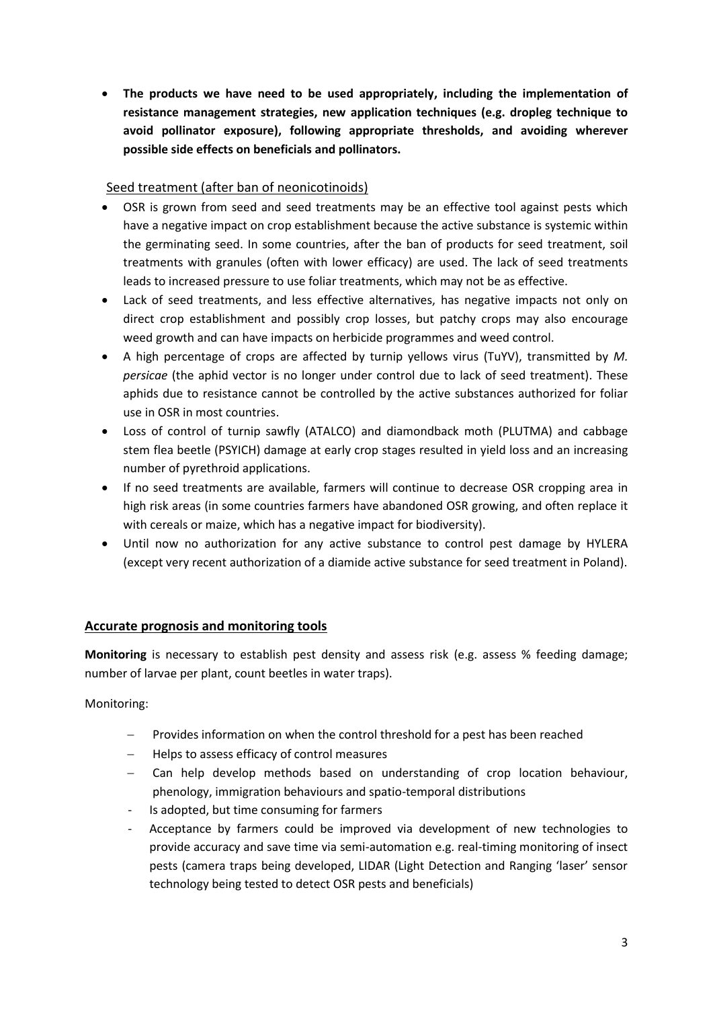**The products we have need to be used appropriately, including the implementation of resistance management strategies, new application techniques (e.g. dropleg technique to avoid pollinator exposure), following appropriate thresholds, and avoiding wherever possible side effects on beneficials and pollinators.**

### Seed treatment (after ban of neonicotinoids)

- OSR is grown from seed and seed treatments may be an effective tool against pests which have a negative impact on crop establishment because the active substance is systemic within the germinating seed. In some countries, after the ban of products for seed treatment, soil treatments with granules (often with lower efficacy) are used. The lack of seed treatments leads to increased pressure to use foliar treatments, which may not be as effective.
- Lack of seed treatments, and less effective alternatives, has negative impacts not only on direct crop establishment and possibly crop losses, but patchy crops may also encourage weed growth and can have impacts on herbicide programmes and weed control.
- A high percentage of crops are affected by turnip yellows virus (TuYV), transmitted by *M. persicae* (the aphid vector is no longer under control due to lack of seed treatment). These aphids due to resistance cannot be controlled by the active substances authorized for foliar use in OSR in most countries.
- Loss of control of turnip sawfly (ATALCO) and diamondback moth (PLUTMA) and cabbage stem flea beetle (PSYICH) damage at early crop stages resulted in yield loss and an increasing number of pyrethroid applications.
- If no seed treatments are available, farmers will continue to decrease OSR cropping area in high risk areas (in some countries farmers have abandoned OSR growing, and often replace it with cereals or maize, which has a negative impact for biodiversity).
- Until now no authorization for any active substance to control pest damage by HYLERA (except very recent authorization of a diamide active substance for seed treatment in Poland).

## **Accurate prognosis and monitoring tools**

**Monitoring** is necessary to establish pest density and assess risk (e.g. assess % feeding damage; number of larvae per plant, count beetles in water traps).

Monitoring:

- Provides information on when the control threshold for a pest has been reached
- Helps to assess efficacy of control measures
- Can help develop methods based on understanding of crop location behaviour, phenology, immigration behaviours and spatio-temporal distributions
- Is adopted, but time consuming for farmers
- Acceptance by farmers could be improved via development of new technologies to provide accuracy and save time via semi-automation e.g. real-timing monitoring of insect pests (camera traps being developed, LIDAR (Light Detection and Ranging 'laser' sensor technology being tested to detect OSR pests and beneficials)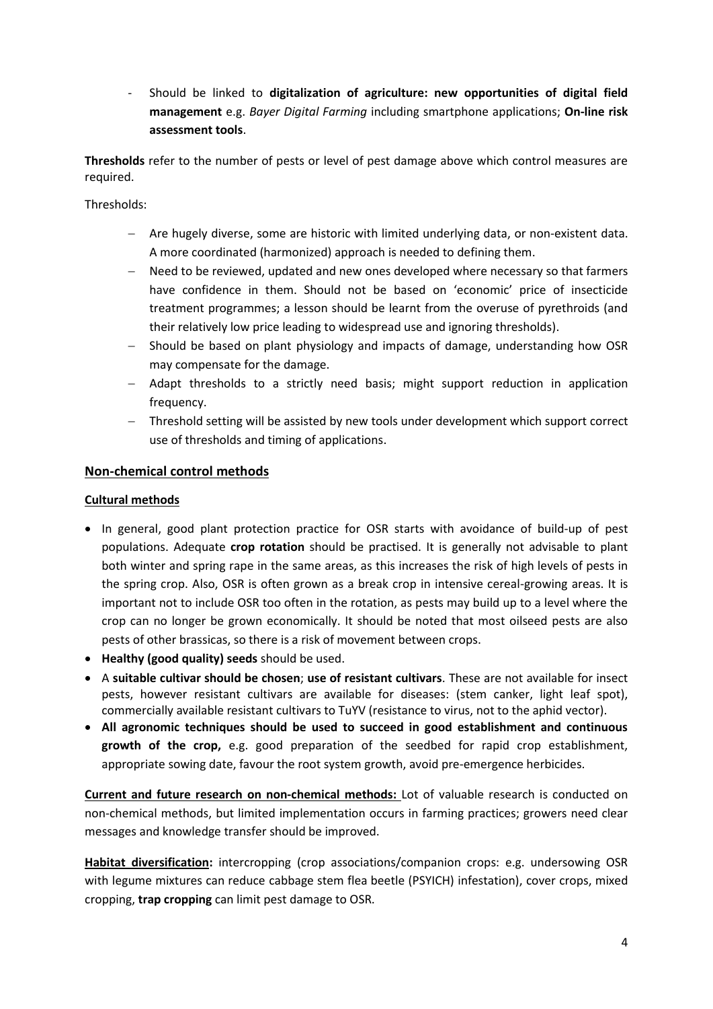- Should be linked to **digitalization of agriculture: new opportunities of digital field management** e.g. *Bayer Digital Farming* including smartphone applications; **On-line risk assessment tools**.

**Thresholds** refer to the number of pests or level of pest damage above which control measures are required.

Thresholds:

- Are hugely diverse, some are historic with limited underlying data, or non-existent data. A more coordinated (harmonized) approach is needed to defining them.
- Need to be reviewed, updated and new ones developed where necessary so that farmers have confidence in them. Should not be based on 'economic' price of insecticide treatment programmes; a lesson should be learnt from the overuse of pyrethroids (and their relatively low price leading to widespread use and ignoring thresholds).
- Should be based on plant physiology and impacts of damage, understanding how OSR may compensate for the damage.
- Adapt thresholds to a strictly need basis; might support reduction in application frequency.
- Threshold setting will be assisted by new tools under development which support correct use of thresholds and timing of applications.

### **Non-chemical control methods**

#### **Cultural methods**

- In general, good plant protection practice for OSR starts with avoidance of build-up of pest populations. Adequate **crop rotation** should be practised. It is generally not advisable to plant both winter and spring rape in the same areas, as this increases the risk of high levels of pests in the spring crop. Also, OSR is often grown as a break crop in intensive cereal-growing areas. It is important not to include OSR too often in the rotation, as pests may build up to a level where the crop can no longer be grown economically. It should be noted that most oilseed pests are also pests of other brassicas, so there is a risk of movement between crops.
- **Healthy (good quality) seeds** should be used.
- A **suitable cultivar should be chosen**; **use of resistant cultivars**. These are not available for insect pests, however resistant cultivars are available for diseases: (stem canker, light leaf spot), commercially available resistant cultivars to TuYV (resistance to virus, not to the aphid vector).
- **All agronomic techniques should be used to succeed in good establishment and continuous growth of the crop,** e.g. good preparation of the seedbed for rapid crop establishment, appropriate sowing date, favour the root system growth, avoid pre-emergence herbicides.

**Current and future research on non-chemical methods:** Lot of valuable research is conducted on non-chemical methods, but limited implementation occurs in farming practices; growers need clear messages and knowledge transfer should be improved.

**Habitat diversification:** intercropping (crop associations/companion crops: e.g. undersowing OSR with legume mixtures can reduce cabbage stem flea beetle (PSYICH) infestation), cover crops, mixed cropping, **trap cropping** can limit pest damage to OSR.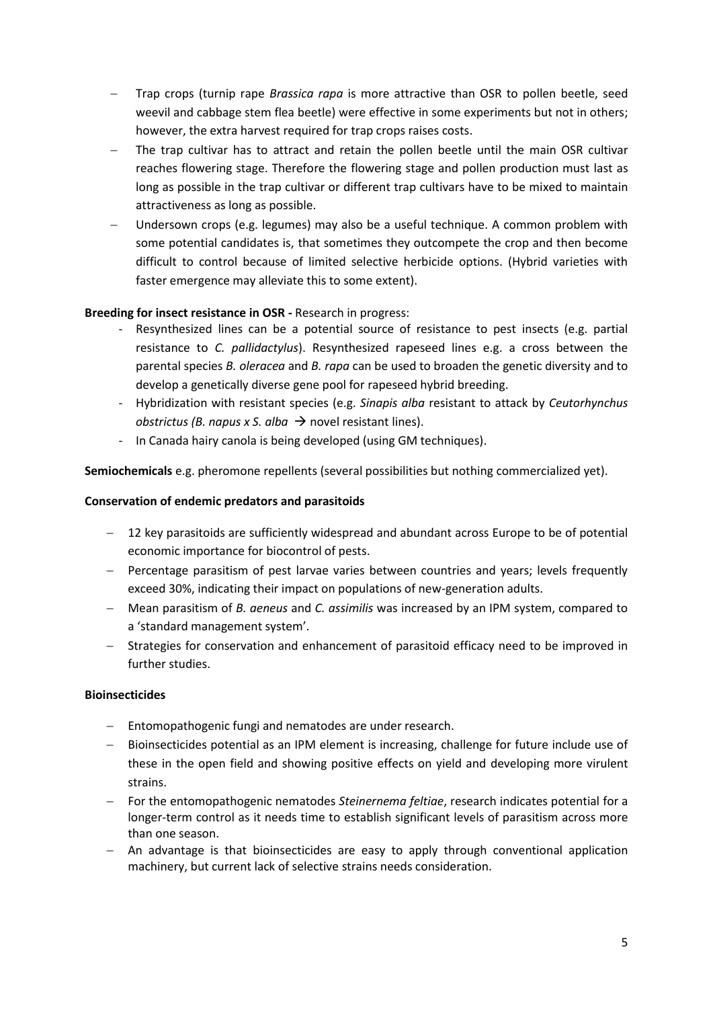- Trap crops (turnip rape *Brassica rapa* is more attractive than OSR to pollen beetle, seed weevil and cabbage stem flea beetle) were effective in some experiments but not in others; however, the extra harvest required for trap crops raises costs.
- The trap cultivar has to attract and retain the pollen beetle until the main OSR cultivar reaches flowering stage. Therefore the flowering stage and pollen production must last as long as possible in the trap cultivar or different trap cultivars have to be mixed to maintain attractiveness as long as possible.
- Undersown crops (e.g. legumes) may also be a useful technique. A common problem with some potential candidates is, that sometimes they outcompete the crop and then become difficult to control because of limited selective herbicide options. (Hybrid varieties with faster emergence may alleviate this to some extent).

### **Breeding for insect resistance in OSR -** Research in progress:

- Resynthesized lines can be a potential source of resistance to pest insects (e.g. partial resistance to *C. pallidactylus*). Resynthesized rapeseed lines e.g. a cross between the parental species *B. oleracea* and *B. rapa* can be used to broaden the genetic diversity and to develop a genetically diverse gene pool for rapeseed hybrid breeding.
- Hybridization with resistant species (e.g. *Sinapis alba* resistant to attack by *Ceutorhynchus obstrictus (B. napus x S. alba*  $\rightarrow$  novel resistant lines).
- In Canada hairy canola is being developed (using GM techniques).

**Semiochemicals** e.g. pheromone repellents (several possibilities but nothing commercialized yet).

### **Conservation of endemic predators and parasitoids**

- 12 key parasitoids are sufficiently widespread and abundant across Europe to be of potential economic importance for biocontrol of pests.
- Percentage parasitism of pest larvae varies between countries and years; levels frequently exceed 30%, indicating their impact on populations of new-generation adults.
- Mean parasitism of *B. aeneus* and *C. assimilis* was increased by an IPM system, compared to a 'standard management system'.
- Strategies for conservation and enhancement of parasitoid efficacy need to be improved in further studies.

### **Bioinsecticides**

- Entomopathogenic fungi and nematodes are under research.
- Bioinsecticides potential as an IPM element is increasing, challenge for future include use of these in the open field and showing positive effects on yield and developing more virulent strains.
- For the entomopathogenic nematodes *Steinernema feltiae*, research indicates potential for a longer-term control as it needs time to establish significant levels of parasitism across more than one season.
- $-$  An advantage is that bioinsecticides are easy to apply through conventional application machinery, but current lack of selective strains needs consideration.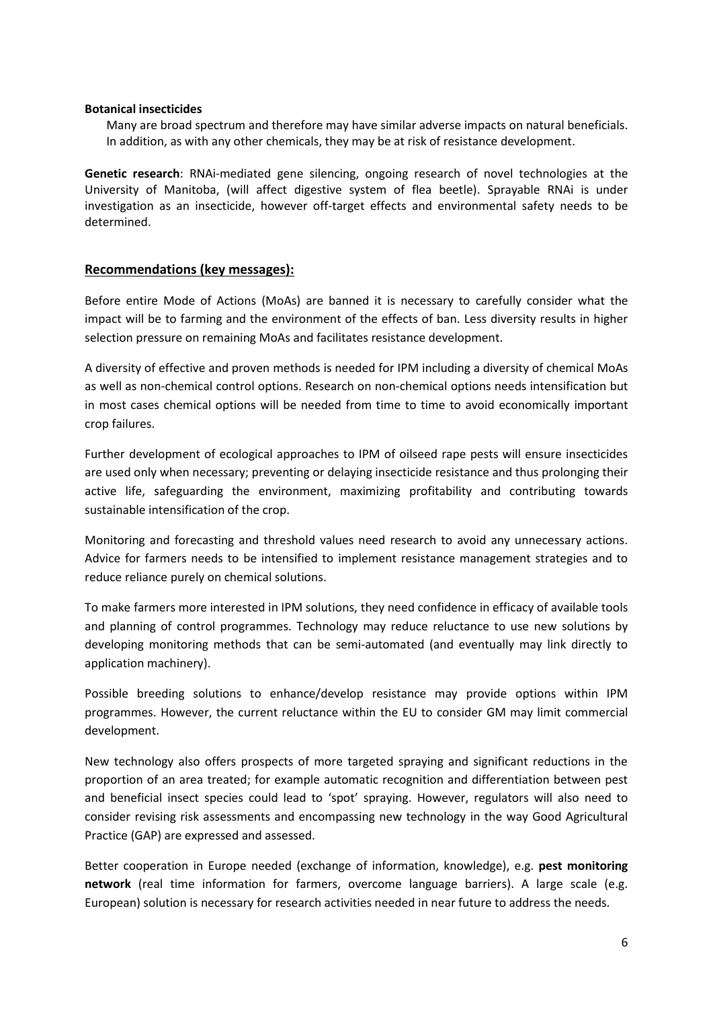#### **Botanical insecticides**

Many are broad spectrum and therefore may have similar adverse impacts on natural beneficials. In addition, as with any other chemicals, they may be at risk of resistance development.

**Genetic research**: RNAi-mediated gene silencing, ongoing research of novel technologies at the University of Manitoba, (will affect digestive system of flea beetle). Sprayable RNAi is under investigation as an insecticide, however off-target effects and environmental safety needs to be determined.

#### **Recommendations (key messages):**

Before entire Mode of Actions (MoAs) are banned it is necessary to carefully consider what the impact will be to farming and the environment of the effects of ban. Less diversity results in higher selection pressure on remaining MoAs and facilitates resistance development.

A diversity of effective and proven methods is needed for IPM including a diversity of chemical MoAs as well as non-chemical control options. Research on non-chemical options needs intensification but in most cases chemical options will be needed from time to time to avoid economically important crop failures.

Further development of ecological approaches to IPM of oilseed rape pests will ensure insecticides are used only when necessary; preventing or delaying insecticide resistance and thus prolonging their active life, safeguarding the environment, maximizing profitability and contributing towards sustainable intensification of the crop.

Monitoring and forecasting and threshold values need research to avoid any unnecessary actions. Advice for farmers needs to be intensified to implement resistance management strategies and to reduce reliance purely on chemical solutions.

To make farmers more interested in IPM solutions, they need confidence in efficacy of available tools and planning of control programmes. Technology may reduce reluctance to use new solutions by developing monitoring methods that can be semi-automated (and eventually may link directly to application machinery).

Possible breeding solutions to enhance/develop resistance may provide options within IPM programmes. However, the current reluctance within the EU to consider GM may limit commercial development.

New technology also offers prospects of more targeted spraying and significant reductions in the proportion of an area treated; for example automatic recognition and differentiation between pest and beneficial insect species could lead to 'spot' spraying. However, regulators will also need to consider revising risk assessments and encompassing new technology in the way Good Agricultural Practice (GAP) are expressed and assessed.

Better cooperation in Europe needed (exchange of information, knowledge), e.g. **pest monitoring network** (real time information for farmers, overcome language barriers). A large scale (e.g. European) solution is necessary for research activities needed in near future to address the needs.